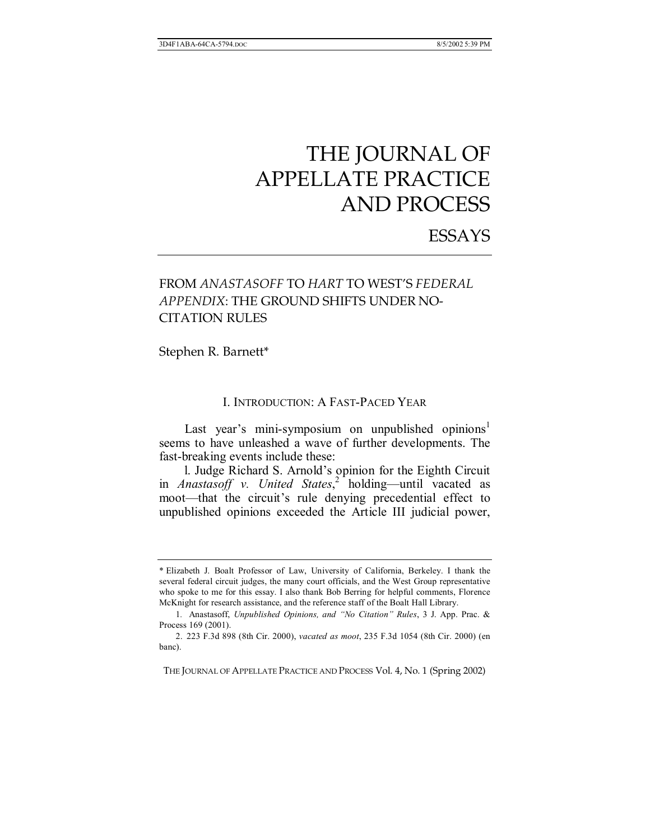# ESSAYS

# FROM *ANASTASOFF* TO *HART* TO WEST'S *FEDERAL APPENDIX*: THE GROUND SHIFTS UNDER NO-CITATION RULES

Stephen R. Barnett\*

# I. INTRODUCTION: A FAST-PACED YEAR

Last year's mini-symposium on unpublished opinions<sup>1</sup> seems to have unleashed a wave of further developments. The fast-breaking events include these:

l. Judge Richard S. Arnold's opinion for the Eighth Circuit in *Anastasoff v. United States*,<sup>2</sup> holding—until vacated as moot—that the circuit's rule denying precedential effect to unpublished opinions exceeded the Article III judicial power,

THE JOURNAL OF APPELLATE PRACTICE AND PROCESS Vol. 4, No. 1 (Spring 2002)

<sup>\*</sup> Elizabeth J. Boalt Professor of Law, University of California, Berkeley. I thank the several federal circuit judges, the many court officials, and the West Group representative who spoke to me for this essay. I also thank Bob Berring for helpful comments, Florence McKnight for research assistance, and the reference staff of the Boalt Hall Library.

<sup>1.</sup> Anastasoff, *Unpublished Opinions, and "No Citation" Rules*, 3 J. App. Prac. & Process 169 (2001).

 <sup>2. 223</sup> F.3d 898 (8th Cir. 2000), *vacated as moot*, 235 F.3d 1054 (8th Cir. 2000) (en banc).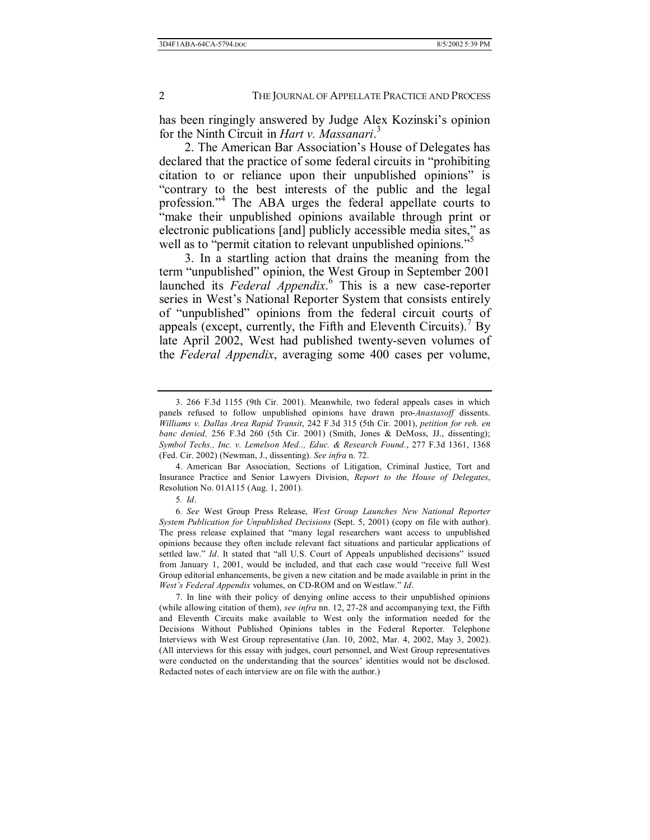has been ringingly answered by Judge Alex Kozinski's opinion for the Ninth Circuit in *Hart v. Massanari*. 3

2. The American Bar Association's House of Delegates has declared that the practice of some federal circuits in "prohibiting" citation to or reliance upon their unpublished opinions" is ìcontrary to the best interests of the public and the legal profession."<sup>4</sup> The ABA urges the federal appellate courts to "make their unpublished opinions available through print or electronic publications [and] publicly accessible media sites," as well as to "permit citation to relevant unpublished opinions."<sup>5</sup>

3. In a startling action that drains the meaning from the term "unpublished" opinion, the West Group in September 2001 launched its *Federal Appendix*.<sup>6</sup> This is a new case-reporter series in West's National Reporter System that consists entirely of "unpublished" opinions from the federal circuit courts of appeals (except, currently, the Fifth and Eleventh Circuits).<sup>7</sup> By late April 2002, West had published twenty-seven volumes of the *Federal Appendix*, averaging some 400 cases per volume,

 <sup>3. 266</sup> F.3d 1155 (9th Cir. 2001). Meanwhile, two federal appeals cases in which panels refused to follow unpublished opinions have drawn pro-*Anastasoff* dissents. *Williams v. Dallas Area Rapid Transit*, 242 F.3d 315 (5th Cir. 2001), *petition for reh. en banc denied,* 256 F.3d 260 (5th Cir. 2001) (Smith, Jones & DeMoss, JJ., dissenting); *Symbol Techs., Inc. v. Lemelson Med.., Educ. & Research Found.*, 277 F.3d 1361, 1368 (Fed. Cir. 2002) (Newman, J., dissenting). *See infra* n. 72.

 <sup>4.</sup> American Bar Association, Sections of Litigation, Criminal Justice, Tort and Insurance Practice and Senior Lawyers Division, *Report to the House of Delegates*, Resolution No. 01A115 (Aug. 1, 2001).

<sup>5</sup>*. Id*.

<sup>6</sup>*. See* West Group Press Release, *West Group Launches New National Reporter System Publication for Unpublished Decisions* (Sept. 5, 2001) (copy on file with author). The press release explained that "many legal researchers want access to unpublished opinions because they often include relevant fact situations and particular applications of settled law." *Id*. It stated that "all U.S. Court of Appeals unpublished decisions" issued from January 1, 2001, would be included, and that each case would "receive full West Group editorial enhancements, be given a new citation and be made available in print in the *West's Federal Appendix* volumes, on CD-ROM and on Westlaw." *Id.* 

 <sup>7.</sup> In line with their policy of denying online access to their unpublished opinions (while allowing citation of them), *see infra* nn. 12, 27-28 and accompanying text, the Fifth and Eleventh Circuits make available to West only the information needed for the Decisions Without Published Opinions tables in the Federal Reporter*.* Telephone Interviews with West Group representative (Jan. 10, 2002, Mar. 4, 2002, May 3, 2002). (All interviews for this essay with judges, court personnel, and West Group representatives were conducted on the understanding that the sources' identities would not be disclosed. Redacted notes of each interview are on file with the author.)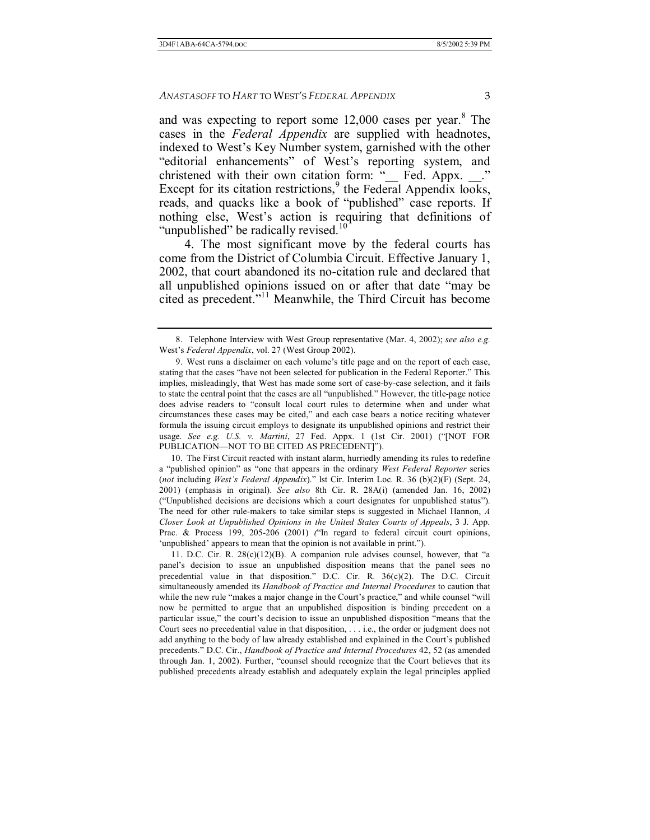and was expecting to report some  $12,000$  cases per year.<sup>8</sup> The cases in the *Federal Appendix* are supplied with headnotes, indexed to West's Key Number system, garnished with the other "editorial enhancements" of West's reporting system, and christened with their own citation form: " Fed. Appx. Except for its citation restrictions,<sup>9</sup> the Federal Appendix looks, reads, and quacks like a book of "published" case reports. If nothing else, West's action is requiring that definitions of "unpublished" be radically revised. $10$ "

4. The most significant move by the federal courts has come from the District of Columbia Circuit. Effective January 1, 2002, that court abandoned its no-citation rule and declared that all unpublished opinions issued on or after that date "may be cited as precedent. $i<sup>11</sup>$  Meanwhile, the Third Circuit has become

 10. The First Circuit reacted with instant alarm, hurriedly amending its rules to redefine a "published opinion" as "one that appears in the ordinary *West Federal Reporter* series (not including West's Federal Appendix)." lst Cir. Interim Loc. R. 36 (b)(2)(F) (Sept. 24, 2001) (emphasis in original). *See also* 8th Cir. R. 28A(i) (amended Jan. 16, 2002) ("Unpublished decisions are decisions which a court designates for unpublished status"). The need for other rule-makers to take similar steps is suggested in Michael Hannon, *A Closer Look at Unpublished Opinions in the United States Courts of Appeals*, 3 J. App. Prac. & Process 199, 205-206 (2001) ('In regard to federal circuit court opinions, 'unpublished' appears to mean that the opinion is not available in print.").

11. D.C. Cir. R.  $28(c)(12)(B)$ . A companion rule advises counsel, however, that "a panel's decision to issue an unpublished disposition means that the panel sees no precedential value in that disposition." D.C. Cir. R.  $36(c)(2)$ . The D.C. Circuit simultaneously amended its *Handbook of Practice and Internal Procedures* to caution that while the new rule "makes a major change in the Court's practice," and while counsel "will now be permitted to argue that an unpublished disposition is binding precedent on a particular issue," the court's decision to issue an unpublished disposition "means that the Court sees no precedential value in that disposition, . . . i.e., the order or judgment does not add anything to the body of law already established and explained in the Court's published precedents.î D.C. Cir., *Handbook of Practice and Internal Procedures* 42, 52 (as amended through Jan.  $1, 2002$ ). Further, "counsel should recognize that the Court believes that its published precedents already establish and adequately explain the legal principles applied

 <sup>8.</sup> Telephone Interview with West Group representative (Mar. 4, 2002); *see also e.g.*  West's Federal Appendix, vol. 27 (West Group 2002).

<sup>9.</sup> West runs a disclaimer on each volume's title page and on the report of each case, stating that the cases "have not been selected for publication in the Federal Reporter." This implies, misleadingly, that West has made some sort of case-by-case selection, and it fails to state the central point that the cases are all "unpublished." However, the title-page notice does advise readers to "consult local court rules to determine when and under what circumstances these cases may be cited," and each case bears a notice reciting whatever formula the issuing circuit employs to designate its unpublished opinions and restrict their usage. See e.g. U.S. v. Martini, 27 Fed. Appx. 1 (1st Cir. 2001) ("[NOT FOR PUBLICATION—NOT TO BE CITED AS PRECEDENT]").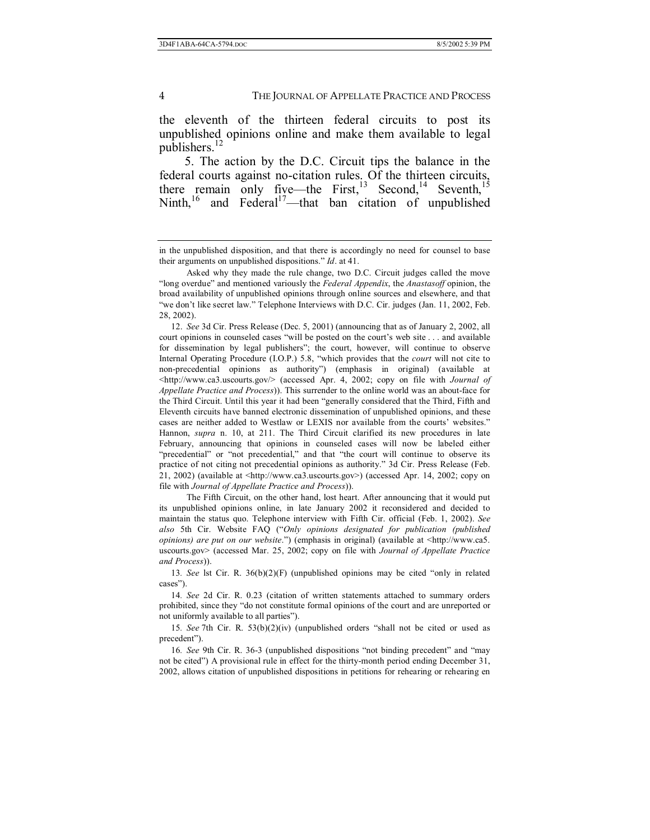the eleventh of the thirteen federal circuits to post its unpublished opinions online and make them available to legal publishers.<sup>12</sup>

5. The action by the D.C. Circuit tips the balance in the federal courts against no-citation rules. Of the thirteen circuits, there remain only five—the First,<sup>13</sup> Second,<sup>14</sup> Seventh,<sup>15</sup> Ninth,<sup>16</sup> and Federal<sup>17</sup>—that ban citation of unpublished

 12. *See* 3d Cir. Press Release (Dec. 5, 2001) (announcing that as of January 2, 2002, all court opinions in counseled cases "will be posted on the court's web site . . . and available for dissemination by legal publishers"; the court, however, will continue to observe Internal Operating Procedure (I.O.P.) 5.8, "which provides that the *court* will not cite to non-precedential opinions as authority") (emphasis in original) (available at <http://www.ca3.uscourts.gov/> (accessed Apr. 4, 2002; copy on file with *Journal of Appellate Practice and Process*)). This surrender to the online world was an about-face for the Third Circuit. Until this year it had been "generally considered that the Third, Fifth and Eleventh circuits have banned electronic dissemination of unpublished opinions, and these cases are neither added to Westlaw or LEXIS nor available from the courts' websites." Hannon, *supra* n. 10, at 211. The Third Circuit clarified its new procedures in late February, announcing that opinions in counseled cases will now be labeled either "precedential" or "not precedential," and that "the court will continue to observe its practice of not citing not precedential opinions as authority." 3d Cir. Press Release (Feb. 21, 2002) (available at  $\langle \text{http://www.ca3.uscourts.gov>})$  (accessed Apr. 14, 2002; copy on file with *Journal of Appellate Practice and Process*)).

 The Fifth Circuit, on the other hand, lost heart. After announcing that it would put its unpublished opinions online, in late January 2002 it reconsidered and decided to maintain the status quo. Telephone interview with Fifth Cir. official (Feb. 1, 2002). *See*  also 5th Cir. Website FAQ ("Only opinions designated for publication (published *opinions) are put on our website*.") (emphasis in original) (available at  $\text{~http://www.ca5}.$ uscourts.gov> (accessed Mar. 25, 2002; copy on file with *Journal of Appellate Practice and Process*)).

13*. See* lst Cir. R. 36(b)(2)(F) (unpublished opinions may be cited "only in related cases").

14*. See* 2d Cir. R. 0.23 (citation of written statements attached to summary orders prohibited, since they "do not constitute formal opinions of the court and are unreported or not uniformly available to all parties").

15*. See* 7th Cir. R.  $53(b)(2)(iv)$  (unpublished orders "shall not be cited or used as precedent").

16*. See* 9th Cir. R. 36-3 (unpublished dispositions "not binding precedent" and "may not be citedî) A provisional rule in effect for the thirty-month period ending December 31, 2002, allows citation of unpublished dispositions in petitions for rehearing or rehearing en

in the unpublished disposition, and that there is accordingly no need for counsel to base their arguments on unpublished dispositions." *Id.* at 41.

Asked why they made the rule change, two D.C. Circuit judges called the move ìlong overdueî and mentioned variously the *Federal Appendix*, the *Anastasoff* opinion, the broad availability of unpublished opinions through online sources and elsewhere, and that ìwe donít like secret law.î Telephone Interviews with D.C. Cir. judges (Jan. 11, 2002, Feb. 28, 2002).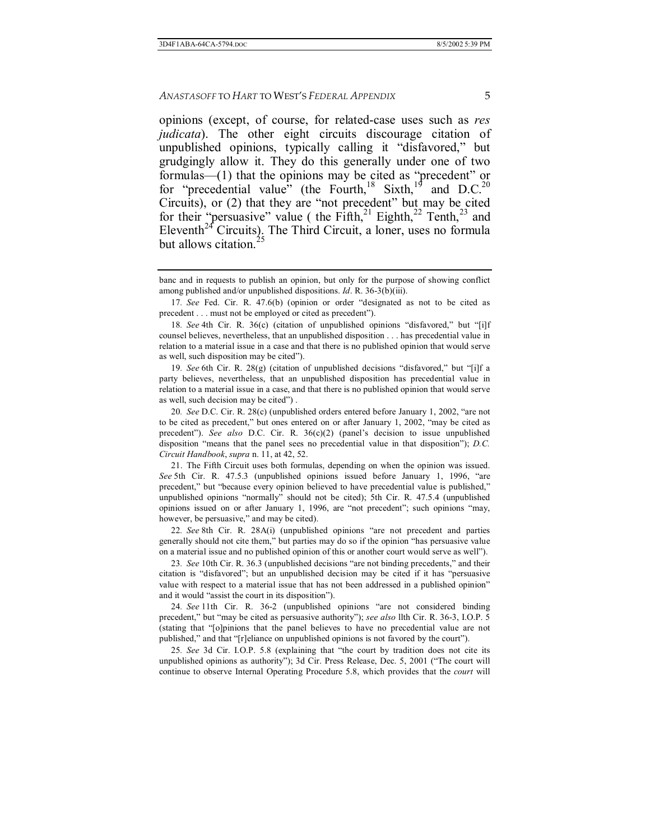opinions (except, of course, for related-case uses such as *res judicata*). The other eight circuits discourage citation of unpublished opinions, typically calling it "disfavored," but grudgingly allow it. They do this generally under one of two formulas— $(1)$  that the opinions may be cited as "precedent" or for "precedential value" (the Fourth,<sup>18</sup> Sixth,<sup>19</sup> and D.C.<sup>20</sup> Circuits), or (2) that they are "not precedent" but may be cited for their "persuasive" value ( the Fifth,<sup>21</sup> Eighth,<sup>22</sup> Tenth,<sup>23</sup> and Eleventh<sup>24</sup> Circuits). The Third Circuit, a loner, uses no formula but allows citation.<sup>2</sup>

19. See 6th Cir. R. 28(g) (citation of unpublished decisions "disfavored," but "[i]f a party believes, nevertheless, that an unpublished disposition has precedential value in relation to a material issue in a case, and that there is no published opinion that would serve as well, such decision may be cited").

20*. See* D.C. Cir. R. 28(c) (unpublished orders entered before January 1, 2002, "are not to be cited as precedent," but ones entered on or after January  $1, 2002$ , "may be cited as precedent"). *See also* D.C. Cir. R. 36(c)(2) (panel's decision to issue unpublished disposition "means that the panel sees no precedential value in that disposition"); *D.C. Circuit Handbook*, *supra* n. 11, at 42, 52.

 21. The Fifth Circuit uses both formulas, depending on when the opinion was issued. *See* 5th Cir. R. 47.5.3 (unpublished opinions issued before January 1, 1996, "are precedent," but "because every opinion believed to have precedential value is published," unpublished opinions "normally" should not be cited); 5th Cir. R.  $47.5.4$  (unpublished opinions issued on or after January 1, 1996, are "not precedent"; such opinions "may, however, be persuasive," and may be cited).

22. See 8th Cir. R. 28A(i) (unpublished opinions "are not precedent and parties generally should not cite them," but parties may do so if the opinion "has persuasive value on a material issue and no published opinion of this or another court would serve as wellî).

23. See 10th Cir. R. 36.3 (unpublished decisions "are not binding precedents," and their citation is "disfavored"; but an unpublished decision may be cited if it has "persuasive value with respect to a material issue that has not been addressed in a published opinionî and it would "assist the court in its disposition").

24. See 11th Cir. R. 36-2 (unpublished opinions "are not considered binding precedent," but "may be cited as persuasive authority"); *see also* llth Cir. R. 36-3, I.O.P. 5 (stating that "[o]pinions that the panel believes to have no precedential value are not published," and that " $[r]$ eliance on unpublished opinions is not favored by the court").

25. See 3d Cir. I.O.P. 5.8 (explaining that "the court by tradition does not cite its unpublished opinions as authority"); 3d Cir. Press Release, Dec. 5, 2001 ("The court will continue to observe Internal Operating Procedure 5.8, which provides that the *court* will

banc and in requests to publish an opinion, but only for the purpose of showing conflict among published and/or unpublished dispositions. *Id*. R. 36-3(b)(iii).

<sup>17</sup>*. See* Fed. Cir. R. 47.6(b) (opinion or order "designated as not to be cited as precedent . . . must not be employed or cited as precedent").

<sup>18</sup>*. See* 4th Cir. R. 36(c) (citation of unpublished opinions "disfavored," but "[i]f counsel believes, nevertheless, that an unpublished disposition . . . has precedential value in relation to a material issue in a case and that there is no published opinion that would serve as well, such disposition may be cited").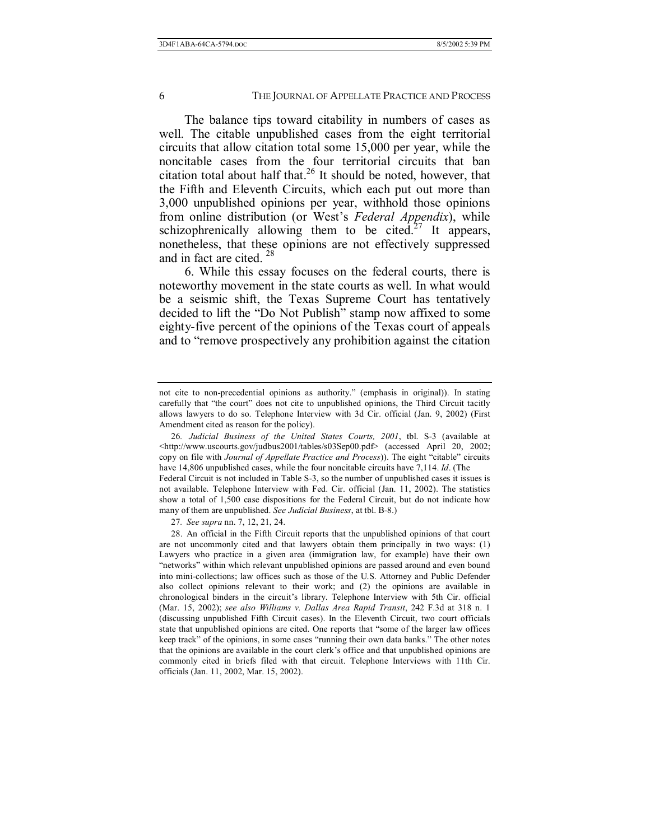The balance tips toward citability in numbers of cases as well. The citable unpublished cases from the eight territorial circuits that allow citation total some 15,000 per year, while the noncitable cases from the four territorial circuits that ban citation total about half that.<sup>26</sup> It should be noted, however, that the Fifth and Eleventh Circuits, which each put out more than 3,000 unpublished opinions per year, withhold those opinions from online distribution (or West's *Federal Appendix*), while schizophrenically allowing them to be cited.<sup>27</sup> It appears, nonetheless, that these opinions are not effectively suppressed and in fact are cited. 28

6. While this essay focuses on the federal courts, there is noteworthy movement in the state courts as well. In what would be a seismic shift, the Texas Supreme Court has tentatively decided to lift the "Do Not Publish" stamp now affixed to some eighty-five percent of the opinions of the Texas court of appeals and to "remove prospectively any prohibition against the citation

not cite to non-precedential opinions as authority." (emphasis in original)). In stating carefully that "the court" does not cite to unpublished opinions, the Third Circuit tacitly allows lawyers to do so. Telephone Interview with 3d Cir. official (Jan. 9, 2002) (First Amendment cited as reason for the policy).

<sup>26</sup>*. Judicial Business of the United States Courts, 2001*, tbl. S-3 (available at <http://www.uscourts.gov/judbus2001/tables/s03Sep00.pdf> (accessed April 20, 2002; copy on file with *Journal of Appellate Practice and Process*)). The eight "citable" circuits have 14,806 unpublished cases, while the four noncitable circuits have 7,114. *Id*. (The

Federal Circuit is not included in Table S-3, so the number of unpublished cases it issues is not available. Telephone Interview with Fed. Cir. official (Jan. 11, 2002). The statistics show a total of 1,500 case dispositions for the Federal Circuit, but do not indicate how many of them are unpublished. *See Judicial Business*, at tbl. B-8.)

<sup>27</sup>*. See supra* nn. 7, 12, 21, 24.

 <sup>28.</sup> An official in the Fifth Circuit reports that the unpublished opinions of that court are not uncommonly cited and that lawyers obtain them principally in two ways: (1) Lawyers who practice in a given area (immigration law, for example) have their own ìnetworksî within which relevant unpublished opinions are passed around and even bound into mini-collections; law offices such as those of the U.S. Attorney and Public Defender also collect opinions relevant to their work; and (2) the opinions are available in chronological binders in the circuitís library. Telephone Interview with 5th Cir. official (Mar. 15, 2002); *see also Williams v. Dallas Area Rapid Transit*, 242 F.3d at 318 n. 1 (discussing unpublished Fifth Circuit cases). In the Eleventh Circuit, two court officials state that unpublished opinions are cited. One reports that "some of the larger law offices keep track" of the opinions, in some cases "running their own data banks." The other notes that the opinions are available in the court clerk's office and that unpublished opinions are commonly cited in briefs filed with that circuit. Telephone Interviews with 11th Cir. officials (Jan. 11, 2002, Mar. 15, 2002).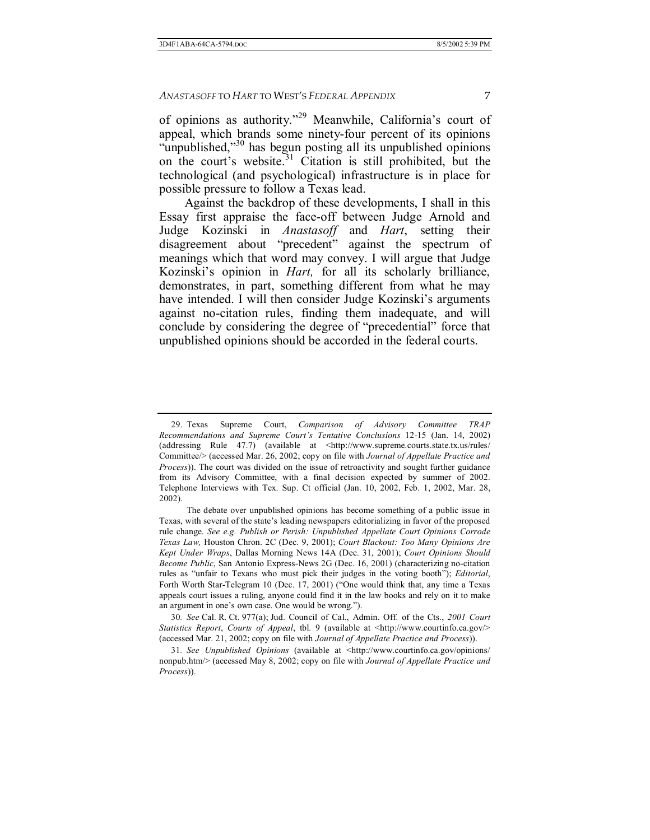of opinions as authority."<sup>29</sup> Meanwhile, California's court of appeal, which brands some ninety-four percent of its opinions "unpublished, $\frac{30}{10}$  has begun posting all its unpublished opinions on the court's website.<sup>31</sup> Citation is still prohibited, but the technological (and psychological) infrastructure is in place for possible pressure to follow a Texas lead.

Against the backdrop of these developments, I shall in this Essay first appraise the face-off between Judge Arnold and Judge Kozinski in *Anastasoff* and *Hart*, setting their disagreement about "precedent" against the spectrum of meanings which that word may convey. I will argue that Judge Kozinski's opinion in *Hart*, for all its scholarly brilliance, demonstrates, in part, something different from what he may have intended. I will then consider Judge Kozinski's arguments against no-citation rules, finding them inadequate, and will conclude by considering the degree of "precedential" force that unpublished opinions should be accorded in the federal courts.

30*. See* Cal. R. Ct. 977(a); Jud. Council of Cal., Admin. Off. of the Cts., *2001 Court Statistics Report*, *Courts of Appeal*, tbl. 9 (available at <http://www.courtinfo.ca.gov/> (accessed Mar. 21, 2002; copy on file with *Journal of Appellate Practice and Process*)).

 <sup>29.</sup> Texas Supreme Court, *Comparison of Advisory Committee TRAP Recommendations and Supreme Courtís Tentative Conclusions* 12-15 (Jan. 14, 2002) (addressing Rule 47.7) (available at  $\lt$ http://www.supreme.courts.state.tx.us/rules/ Committee/> (accessed Mar. 26, 2002; copy on file with *Journal of Appellate Practice and Process*)). The court was divided on the issue of retroactivity and sought further guidance from its Advisory Committee, with a final decision expected by summer of 2002. Telephone Interviews with Tex. Sup. Ct official (Jan. 10, 2002, Feb. 1, 2002, Mar. 28, 2002).

The debate over unpublished opinions has become something of a public issue in Texas, with several of the state's leading newspapers editorializing in favor of the proposed rule change. *See e.g. Publish or Perish: Unpublished Appellate Court Opinions Corrode Texas Law,* Houston Chron. 2C (Dec. 9, 2001); *Court Blackout: Too Many Opinions Are Kept Under Wraps*, Dallas Morning News 14A (Dec. 31, 2001); *Court Opinions Should Become Public*, San Antonio Express-News 2G (Dec. 16, 2001) (characterizing no-citation rules as "unfair to Texans who must pick their judges in the voting booth"); *Editorial*, Forth Worth Star-Telegram 10 (Dec. 17, 2001) ("One would think that, any time a Texas appeals court issues a ruling, anyone could find it in the law books and rely on it to make an argument in one's own case. One would be wrong.").

<sup>31</sup>*. See Unpublished Opinions* (available at <http://www.courtinfo.ca.gov/opinions/ nonpub.htm/> (accessed May 8, 2002; copy on file with *Journal of Appellate Practice and Process*)).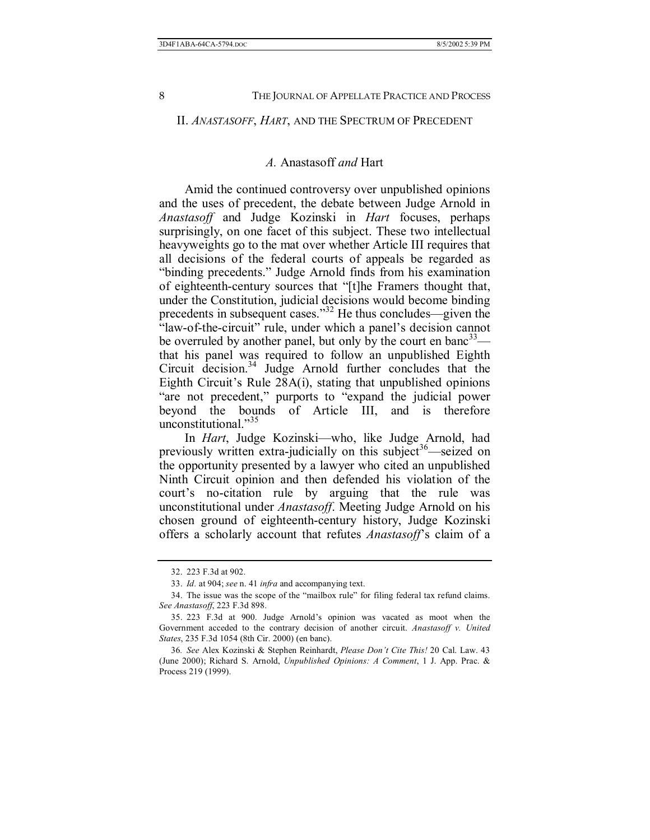#### II. *ANASTASOFF*, *HART*, AND THE SPECTRUM OF PRECEDENT

#### *A.* Anastasoff *and* Hart

Amid the continued controversy over unpublished opinions and the uses of precedent, the debate between Judge Arnold in *Anastasoff* and Judge Kozinski in *Hart* focuses, perhaps surprisingly, on one facet of this subject. These two intellectual heavyweights go to the mat over whether Article III requires that all decisions of the federal courts of appeals be regarded as "binding precedents." Judge Arnold finds from his examination of eighteenth-century sources that "[t]he Framers thought that, under the Constitution, judicial decisions would become binding precedents in subsequent cases.<sup>332</sup> He thus concludes—given the "law-of-the-circuit" rule, under which a panel's decision cannot be overruled by another panel, but only by the court en banc<sup>33</sup> that his panel was required to follow an unpublished Eighth Circuit decision. $34$  Judge Arnold further concludes that the Eighth Circuit's Rule  $28A(i)$ , stating that unpublished opinions "are not precedent," purports to "expand the judicial power beyond the bounds of Article III, and is therefore unconstitutional. $135$ 

In *Hart*, Judge Kozinski—who, like Judge Arnold, had previously written extra-judicially on this subject<sup>36</sup>—seized on the opportunity presented by a lawyer who cited an unpublished Ninth Circuit opinion and then defended his violation of the court's no-citation rule by arguing that the rule was unconstitutional under *Anastasoff*. Meeting Judge Arnold on his chosen ground of eighteenth-century history, Judge Kozinski offers a scholarly account that refutes *Anastasoff*'s claim of a

 <sup>32. 223</sup> F.3d at 902.

 <sup>33.</sup> *Id.* at 904; *see* n. 41 *infra* and accompanying text.

<sup>34.</sup> The issue was the scope of the "mailbox rule" for filing federal tax refund claims. *See Anastasoff*, 223 F.3d 898.

<sup>35. 223</sup> F.3d at 900. Judge Arnold's opinion was vacated as moot when the Government acceded to the contrary decision of another circuit. *Anastasoff v. United States*, 235 F.3d 1054 (8th Cir. 2000) (en banc).

<sup>36</sup>*. See* Alex Kozinski & Stephen Reinhardt, *Please Donít Cite This!* 20 Cal. Law. 43 (June 2000); Richard S. Arnold, *Unpublished Opinions: A Comment*, 1 J. App. Prac. & Process 219 (1999).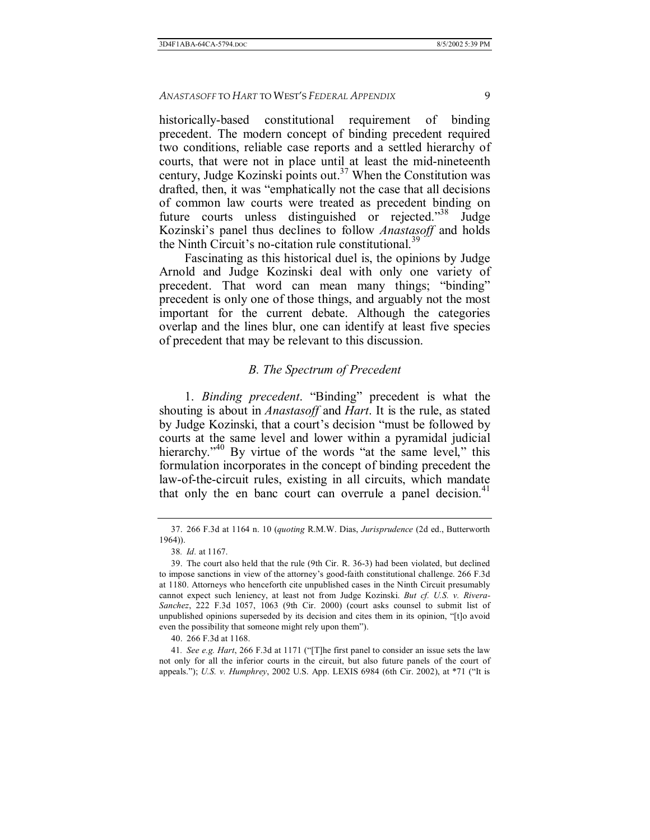historically-based constitutional requirement of binding precedent. The modern concept of binding precedent required two conditions, reliable case reports and a settled hierarchy of courts, that were not in place until at least the mid-nineteenth century, Judge Kozinski points out.<sup>37</sup> When the Constitution was drafted, then, it was "emphatically not the case that all decisions" of common law courts were treated as precedent binding on future courts unless distinguished or rejected.<sup>338</sup> Judge Kozinski's panel thus declines to follow *Anastasoff* and holds the Ninth Circuit's no-citation rule constitutional.<sup>39</sup>

Fascinating as this historical duel is, the opinions by Judge Arnold and Judge Kozinski deal with only one variety of precedent. That word can mean many things; "binding" precedent is only one of those things, and arguably not the most important for the current debate. Although the categories overlap and the lines blur, one can identify at least five species of precedent that may be relevant to this discussion.

#### *B. The Spectrum of Precedent*

1. *Binding precedent*. "Binding" precedent is what the shouting is about in *Anastasoff* and *Hart*. It is the rule, as stated by Judge Kozinski, that a court's decision "must be followed by courts at the same level and lower within a pyramidal judicial hierarchy.<sup> $140$ </sup> By virtue of the words "at the same level," this formulation incorporates in the concept of binding precedent the law-of-the-circuit rules, existing in all circuits, which mandate that only the en banc court can overrule a panel decision.<sup>41</sup>

 <sup>37. 266</sup> F.3d at 1164 n. 10 (*quoting* R.M.W. Dias, *Jurisprudence* (2d ed., Butterworth 1964)).

<sup>38</sup>*. Id.* at 1167.

 <sup>39.</sup> The court also held that the rule (9th Cir. R. 36-3) had been violated, but declined to impose sanctions in view of the attorney's good-faith constitutional challenge. 266 F.3d at 1180. Attorneys who henceforth cite unpublished cases in the Ninth Circuit presumably cannot expect such leniency, at least not from Judge Kozinski. *But cf. U.S. v. Rivera-Sanchez*, 222 F.3d 1057, 1063 (9th Cir. 2000) (court asks counsel to submit list of unpublished opinions superseded by its decision and cites them in its opinion, "[t]o avoid even the possibility that someone might rely upon them<sup>?</sup>).

 <sup>40. 266</sup> F.3d at 1168.

<sup>41.</sup> See e.g. Hart, 266 F.3d at 1171 ("[T]he first panel to consider an issue sets the law not only for all the inferior courts in the circuit, but also future panels of the court of appeals."); *U.S. v. Humphrey*, 2002 U.S. App. LEXIS 6984 (6th Cir. 2002), at \*71 ("It is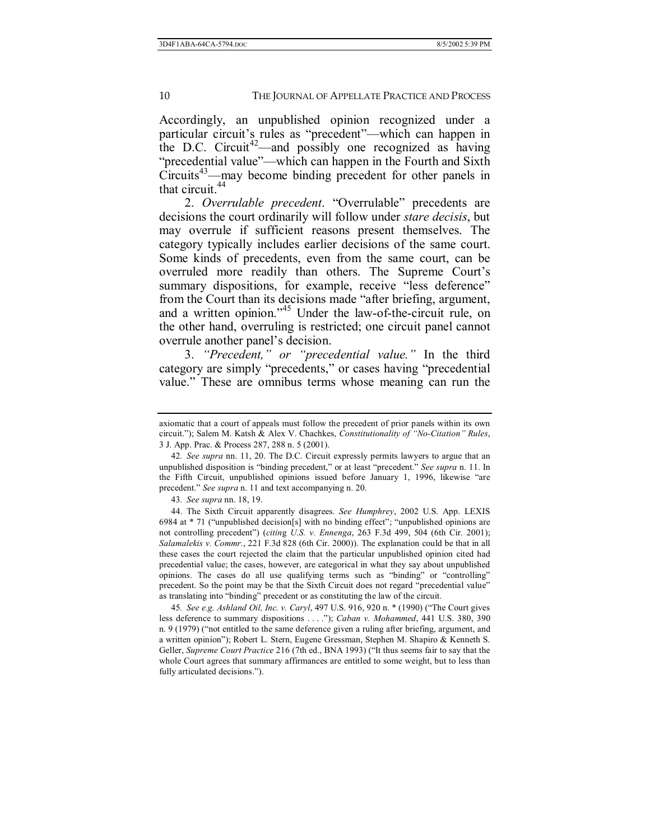Accordingly, an unpublished opinion recognized under a particular circuit's rules as "precedent"—which can happen in the D.C. Circuit<sup>42</sup>—and possibly one recognized as having "precedential value"—which can happen in the Fourth and Sixth  $Circuits<sup>43</sup>$ —may become binding precedent for other panels in that circuit.<sup>44</sup>

2. Overrulable precedent. "Overrulable" precedents are decisions the court ordinarily will follow under *stare decisis*, but may overrule if sufficient reasons present themselves. The category typically includes earlier decisions of the same court. Some kinds of precedents, even from the same court, can be overruled more readily than others. The Supreme Court's summary dispositions, for example, receive "less deference" from the Court than its decisions made "after briefing, argument, and a written opinion."<sup>45</sup> Under the law-of-the-circuit rule, on the other hand, overruling is restricted; one circuit panel cannot overrule another panel's decision.

3. *'Precedent,'' or ''precedential value.''* In the third category are simply "precedents," or cases having "precedential value." These are omnibus terms whose meaning can run the

axiomatic that a court of appeals must follow the precedent of prior panels within its own circuit.î); Salem M. Katsh & Alex V. Chachkes, *Constitutionality of ìNo-Citationî Rules*, 3 J. App. Prac. & Process 287, 288 n. 5 (2001).

<sup>42</sup>*. See supra* nn. 11, 20. The D.C. Circuit expressly permits lawyers to argue that an unpublished disposition is "binding precedent," or at least "precedent." See supra n. 11. In the Fifth Circuit, unpublished opinions issued before January 1, 1996, likewise "are precedent." *See supra* n. 11 and text accompanying n. 20.

<sup>43</sup>*. See supra* nn. 18, 19.

 <sup>44.</sup> The Sixth Circuit apparently disagrees. *See Humphrey*, 2002 U.S. App. LEXIS 6984 at  $*$  71 ("unpublished decision[s] with no binding effect"; "unpublished opinions are not controlling precedentî) (*citin*g *U.S. v. Ennenga*, 263 F.3d 499, 504 (6th Cir. 2001); *Salamalekis v. Commr.*, 221 F.3d 828 (6th Cir. 2000)). The explanation could be that in all these cases the court rejected the claim that the particular unpublished opinion cited had precedential value; the cases, however, are categorical in what they say about unpublished opinions. The cases do all use qualifying terms such as "binding" or "controlling" precedent. So the point may be that the Sixth Circuit does not regard "precedential value" as translating into "binding" precedent or as constituting the law of the circuit.

<sup>45.</sup> See e.g. *Ashland Oil, Inc. v. Caryl*, 497 U.S. 916, 920 n. \* (1990) ("The Court gives less deference to summary dispositions . . . ."); *Caban v. Mohammed*, 441 U.S. 380, 390 n. 9 (1979) ("not entitled to the same deference given a ruling after briefing, argument, and a written opinionî); Robert L. Stern, Eugene Gressman, Stephen M. Shapiro & Kenneth S. Geller, *Supreme Court Practice* 216 (7th ed., BNA 1993) ("It thus seems fair to say that the whole Court agrees that summary affirmances are entitled to some weight, but to less than fully articulated decisions.").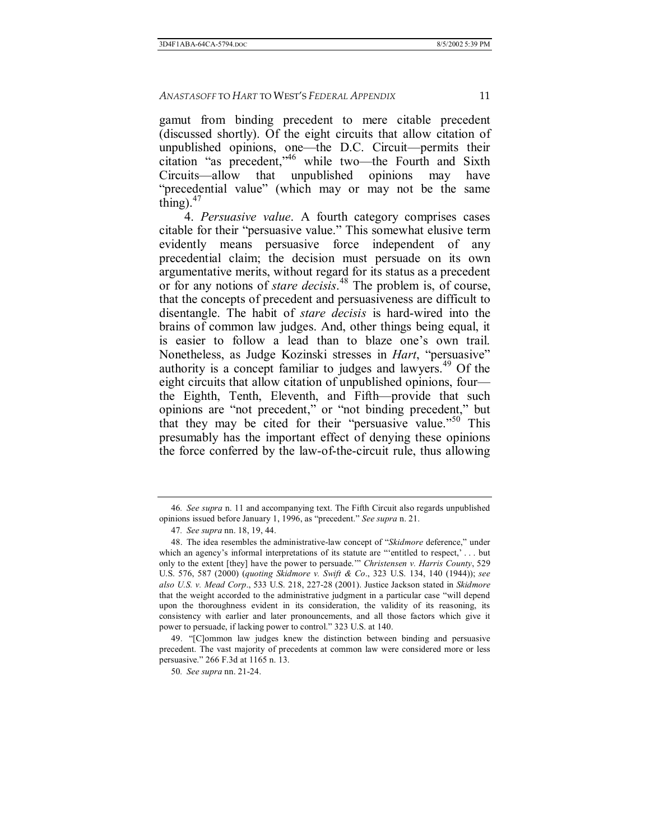gamut from binding precedent to mere citable precedent (discussed shortly). Of the eight circuits that allow citation of unpublished opinions, one—the D.C. Circuit—permits their citation "as precedent," $46$  while two—the Fourth and Sixth Circuits—allow that unpublished opinions may have "precedential value" (which may or may not be the same thing). $47$ 

4. *Persuasive value*. A fourth category comprises cases citable for their "persuasive value." This somewhat elusive term evidently means persuasive force independent of any precedential claim; the decision must persuade on its own argumentative merits, without regard for its status as a precedent or for any notions of *stare decisis*. 48 The problem is, of course, that the concepts of precedent and persuasiveness are difficult to disentangle. The habit of *stare decisis* is hard-wired into the brains of common law judges. And, other things being equal, it is easier to follow a lead than to blaze one's own trail. Nonetheless, as Judge Kozinski stresses in *Hart*, "persuasive" authority is a concept familiar to judges and lawyers.49 Of the eight circuits that allow citation of unpublished opinions, four the Eighth, Tenth, Eleventh, and Fifth-provide that such opinions are "not precedent," or "not binding precedent," but that they may be cited for their "persuasive value. $\frac{150}{100}$  This presumably has the important effect of denying these opinions the force conferred by the law-of-the-circuit rule, thus allowing

49. "[C]ommon law judges knew the distinction between binding and persuasive precedent. The vast majority of precedents at common law were considered more or less persuasive." 266 F.3d at 1165 n. 13.

<sup>46</sup>*. See supra* n. 11 and accompanying text. The Fifth Circuit also regards unpublished opinions issued before January 1, 1996, as "precedent." *See supra* n. 21.

<sup>47</sup>*. See supra* nn. 18, 19, 44.

<sup>48.</sup> The idea resembles the administrative-law concept of "Skidmore deference," under which an agency's informal interpretations of its statute are "'entitled to respect,' . . . but only to the extent [they] have the power to persuade." *Christensen v. Harris County*, 529 U.S. 576, 587 (2000) (*quoting Skidmore v. Swift & Co*., 323 U.S. 134, 140 (1944)); *see also U.S. v. Mead Corp*., 533 U.S. 218, 227-28 (2001). Justice Jackson stated in *Skidmore* that the weight accorded to the administrative judgment in a particular case "will depend upon the thoroughness evident in its consideration, the validity of its reasoning, its consistency with earlier and later pronouncements, and all those factors which give it power to persuade, if lacking power to control." 323 U.S. at 140.

<sup>50</sup>*. See supra* nn. 21-24.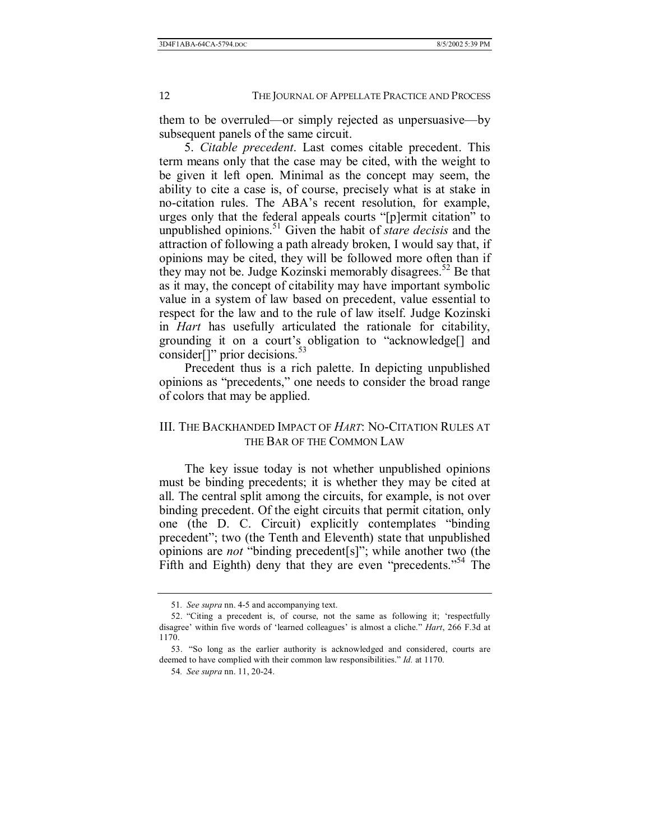them to be overruled—or simply rejected as unpersuasive—by subsequent panels of the same circuit.

5. *Citable precedent*. Last comes citable precedent. This term means only that the case may be cited, with the weight to be given it left open. Minimal as the concept may seem, the ability to cite a case is, of course, precisely what is at stake in no-citation rules. The ABA's recent resolution, for example, urges only that the federal appeals courts "[p]ermit citation" to unpublished opinions.<sup>51</sup> Given the habit of *stare decisis* and the attraction of following a path already broken, I would say that, if opinions may be cited, they will be followed more often than if they may not be. Judge Kozinski memorably disagrees.<sup>52</sup> Be that as it may, the concept of citability may have important symbolic value in a system of law based on precedent, value essential to respect for the law and to the rule of law itself. Judge Kozinski in *Hart* has usefully articulated the rationale for citability, grounding it on a court's obligation to "acknowledge[] and consider<sup>[]</sup>" prior decisions.<sup>53</sup>

Precedent thus is a rich palette. In depicting unpublished opinions as "precedents," one needs to consider the broad range of colors that may be applied.

# III. THE BACKHANDED IMPACT OF *HART*: NO-CITATION RULES AT THE BAR OF THE COMMON LAW

The key issue today is not whether unpublished opinions must be binding precedents; it is whether they may be cited at all. The central split among the circuits, for example, is not over binding precedent. Of the eight circuits that permit citation, only one (the D. C. Circuit) explicitly contemplates "binding precedent"; two (the Tenth and Eleventh) state that unpublished opinions are *not* "binding precedent[s]"; while another two (the Fifth and Eighth) deny that they are even "precedents."<sup>54</sup> The

<sup>51</sup>*. See supra* nn. 4-5 and accompanying text.

<sup>52. &</sup>quot;Citing a precedent is, of course, not the same as following it; 'respectfully disagree' within five words of 'learned colleagues' is almost a cliche." *Hart*, 266 F.3d at 1170.

<sup>53. &</sup>quot;So long as the earlier authority is acknowledged and considered, courts are deemed to have complied with their common law responsibilities." *Id.* at 1170.

<sup>54</sup>*. See supra* nn. 11, 20-24.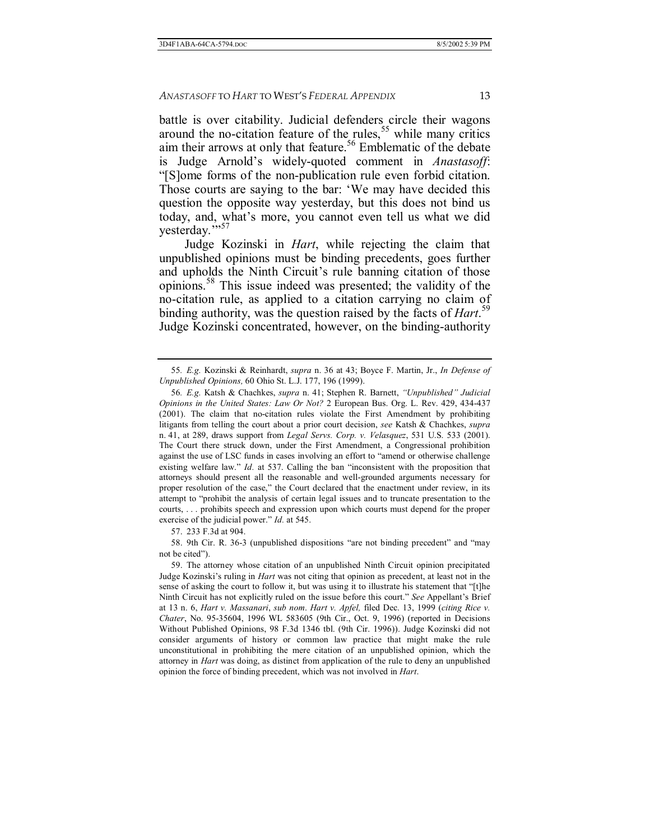battle is over citability. Judicial defenders circle their wagons around the no-citation feature of the rules,<sup>55</sup> while many critics aim their arrows at only that feature.<sup>56</sup> Emblematic of the debate is Judge Arnold's widely-quoted comment in *Anastasoff*: ì[S]ome forms of the non-publication rule even forbid citation. Those courts are saying to the bar: 'We may have decided this question the opposite way yesterday, but this does not bind us today, and, what's more, you cannot even tell us what we did yesterday."<sup>57</sup>

Judge Kozinski in *Hart*, while rejecting the claim that unpublished opinions must be binding precedents, goes further and upholds the Ninth Circuit's rule banning citation of those opinions.58 This issue indeed was presented; the validity of the no-citation rule, as applied to a citation carrying no claim of binding authority, was the question raised by the facts of *Hart*. 59 Judge Kozinski concentrated, however, on the binding-authority

57. 233 F.3d at 904.

58. 9th Cir. R. 36-3 (unpublished dispositions "are not binding precedent" and "may not be cited").

<sup>55</sup>*. E.g.* Kozinski & Reinhardt, *supra* n. 36 at 43; Boyce F. Martin, Jr., *In Defense of Unpublished Opinions,* 60 Ohio St. L.J. 177, 196 (1999).

<sup>56</sup>*. E.g.* Katsh & Chachkes, *supra* n. 41; Stephen R. Barnett, *ìUnpublishedî Judicial Opinions in the United States: Law Or Not?* 2 European Bus. Org. L. Rev. 429, 434-437 (2001). The claim that no-citation rules violate the First Amendment by prohibiting litigants from telling the court about a prior court decision, *see* Katsh & Chachkes, *supra* n. 41, at 289, draws support from *Legal Servs. Corp. v. Velasquez*, 531 U.S. 533 (2001). The Court there struck down, under the First Amendment, a Congressional prohibition against the use of LSC funds in cases involving an effort to "amend or otherwise challenge existing welfare law." *Id.* at 537. Calling the ban "inconsistent with the proposition that attorneys should present all the reasonable and well-grounded arguments necessary for proper resolution of the case," the Court declared that the enactment under review, in its attempt to "prohibit the analysis of certain legal issues and to truncate presentation to the courts, . . . prohibits speech and expression upon which courts must depend for the proper exercise of the judicial power." *Id.* at 545.

 <sup>59.</sup> The attorney whose citation of an unpublished Ninth Circuit opinion precipitated Judge Kozinski's ruling in *Hart* was not citing that opinion as precedent, at least not in the sense of asking the court to follow it, but was using it to illustrate his statement that "[t]he Ninth Circuit has not explicitly ruled on the issue before this court." See Appellant's Brief at 13 n. 6, *Hart v. Massanari*, *sub nom*. *Hart v. Apfel,* filed Dec. 13, 1999 (*citing Rice v. Chater*, No. 95-35604, 1996 WL 583605 (9th Cir., Oct. 9, 1996) (reported in Decisions Without Published Opinions, 98 F.3d 1346 tbl. (9th Cir. 1996)). Judge Kozinski did not consider arguments of history or common law practice that might make the rule unconstitutional in prohibiting the mere citation of an unpublished opinion, which the attorney in *Hart* was doing, as distinct from application of the rule to deny an unpublished opinion the force of binding precedent, which was not involved in *Hart*.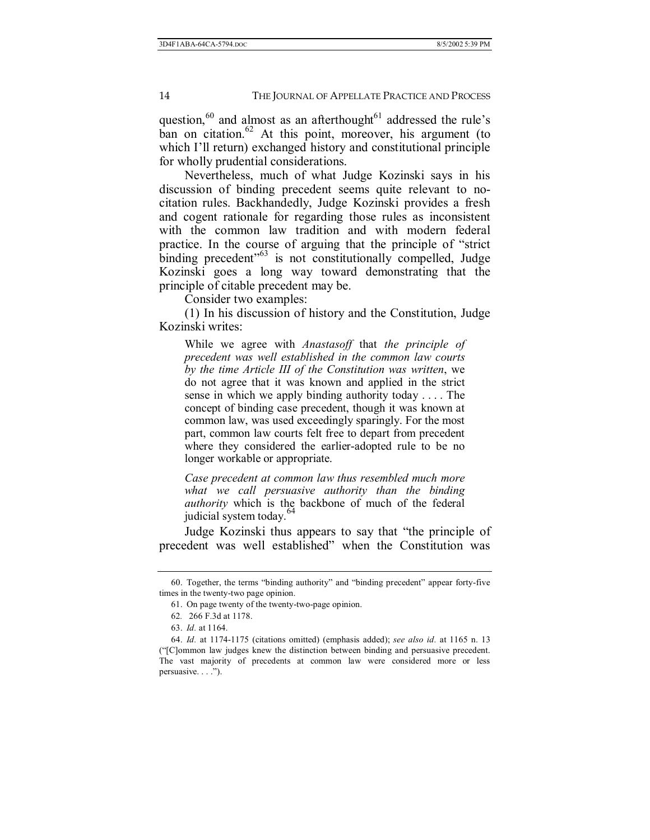question, $60$  and almost as an afterthought $61$  addressed the rule's ban on citation. $62$  At this point, moreover, his argument (to which I'll return) exchanged history and constitutional principle for wholly prudential considerations.

Nevertheless, much of what Judge Kozinski says in his discussion of binding precedent seems quite relevant to nocitation rules. Backhandedly, Judge Kozinski provides a fresh and cogent rationale for regarding those rules as inconsistent with the common law tradition and with modern federal practice. In the course of arguing that the principle of "strict" binding precedent<sup> $63$ </sup> is not constitutionally compelled, Judge Kozinski goes a long way toward demonstrating that the principle of citable precedent may be.

Consider two examples:

(1) In his discussion of history and the Constitution, Judge Kozinski writes:

While we agree with *Anastasoff* that *the principle of precedent was well established in the common law courts by the time Article III of the Constitution was written*, we do not agree that it was known and applied in the strict sense in which we apply binding authority today . . . . The concept of binding case precedent, though it was known at common law, was used exceedingly sparingly. For the most part, common law courts felt free to depart from precedent where they considered the earlier-adopted rule to be no longer workable or appropriate.

*Case precedent at common law thus resembled much more what we call persuasive authority than the binding authority* which is the backbone of much of the federal judicial system today.<sup>64</sup>

Judge Kozinski thus appears to say that "the principle of precedent was well established" when the Constitution was

<sup>60.</sup> Together, the terms "binding authority" and "binding precedent" appear forty-five times in the twenty-two page opinion.

 <sup>61.</sup> On page twenty of the twenty-two-page opinion.

<sup>62</sup>*.* 266 F.3d at 1178.

 <sup>63.</sup> *Id.* at 1164.

 <sup>64.</sup> *Id.* at 1174-1175 (citations omitted) (emphasis added); *see also id.* at 1165 n. 13 (ì[C]ommon law judges knew the distinction between binding and persuasive precedent. The vast majority of precedents at common law were considered more or less persuasive. . . .").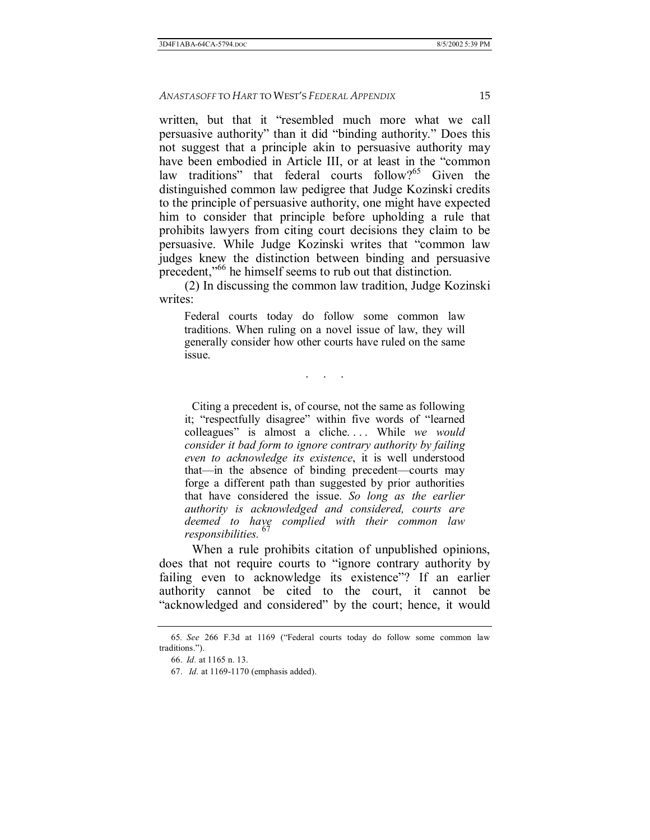written, but that it "resembled much more what we call persuasive authority" than it did "binding authority." Does this not suggest that a principle akin to persuasive authority may have been embodied in Article III, or at least in the "common law traditions" that federal courts follow?<sup>65</sup> Given the distinguished common law pedigree that Judge Kozinski credits to the principle of persuasive authority, one might have expected him to consider that principle before upholding a rule that prohibits lawyers from citing court decisions they claim to be persuasive. While Judge Kozinski writes that "common law judges knew the distinction between binding and persuasive precedent,<sup> $166$ </sup> he himself seems to rub out that distinction.

(2) In discussing the common law tradition, Judge Kozinski writes:

Federal courts today do follow some common law traditions. When ruling on a novel issue of law, they will generally consider how other courts have ruled on the same issue.

. . .

 Citing a precedent is, of course, not the same as following it; "respectfully disagree" within five words of "learned colleagues" is almost a cliche.... While *we would consider it bad form to ignore contrary authority by failing even to acknowledge its existence*, it is well understood that—in the absence of binding precedent—courts may forge a different path than suggested by prior authorities that have considered the issue. *So long as the earlier authority is acknowledged and considered, courts are deemed to have complied with their common law responsibilities.* <sup>67</sup>

 When a rule prohibits citation of unpublished opinions, does that not require courts to "ignore contrary authority by failing even to acknowledge its existence"? If an earlier authority cannot be cited to the court, it cannot be "acknowledged and considered" by the court; hence, it would

<sup>65.</sup> See 266 F.3d at 1169 ("Federal courts today do follow some common law traditions.").

 <sup>66.</sup> *Id.* at 1165 n. 13.

 <sup>67.</sup> *Id.* at 1169-1170 (emphasis added).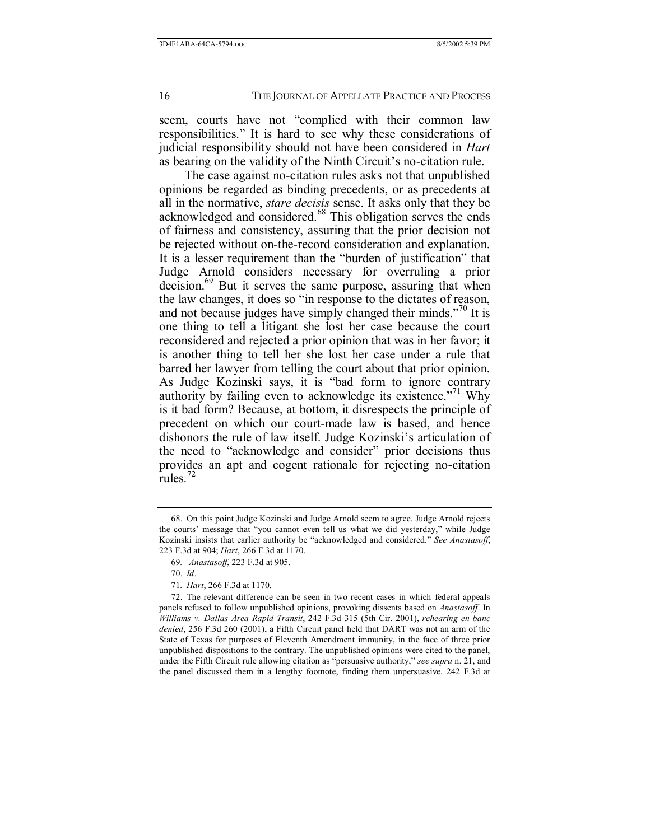seem, courts have not "complied with their common law responsibilities." It is hard to see why these considerations of judicial responsibility should not have been considered in *Hart* as bearing on the validity of the Ninth Circuit's no-citation rule.

The case against no-citation rules asks not that unpublished opinions be regarded as binding precedents, or as precedents at all in the normative, *stare decisis* sense. It asks only that they be acknowledged and considered.<sup>68</sup> This obligation serves the ends of fairness and consistency, assuring that the prior decision not be rejected without on-the-record consideration and explanation. It is a lesser requirement than the "burden of justification" that Judge Arnold considers necessary for overruling a prior decision.<sup>69</sup> But it serves the same purpose, assuring that when the law changes, it does so "in response to the dictates of reason, and not because judges have simply changed their minds.<sup> $270$ </sup> It is one thing to tell a litigant she lost her case because the court reconsidered and rejected a prior opinion that was in her favor; it is another thing to tell her she lost her case under a rule that barred her lawyer from telling the court about that prior opinion. As Judge Kozinski says, it is "bad form to ignore contrary authority by failing even to acknowledge its existence.<sup> $271$ </sup> Why is it bad form? Because, at bottom, it disrespects the principle of precedent on which our court-made law is based, and hence dishonors the rule of law itself. Judge Kozinski's articulation of the need to "acknowledge and consider" prior decisions thus provides an apt and cogent rationale for rejecting no-citation rules. $72$ 

 <sup>68.</sup> On this point Judge Kozinski and Judge Arnold seem to agree. Judge Arnold rejects the courts' message that "you cannot even tell us what we did yesterday," while Judge Kozinski insists that earlier authority be "acknowledged and considered." *See Anastasoff*, 223 F.3d at 904; *Hart*, 266 F.3d at 1170.

<sup>69</sup>*. Anastasoff*, 223 F.3d at 905.

 <sup>70.</sup> *Id*.

<sup>71</sup>*. Hart*, 266 F.3d at 1170.

 <sup>72.</sup> The relevant difference can be seen in two recent cases in which federal appeals panels refused to follow unpublished opinions, provoking dissents based on *Anastasoff*. In *Williams v. Dallas Area Rapid Transit*, 242 F.3d 315 (5th Cir. 2001), *rehearing en banc denied*, 256 F.3d 260 (2001), a Fifth Circuit panel held that DART was not an arm of the State of Texas for purposes of Eleventh Amendment immunity, in the face of three prior unpublished dispositions to the contrary. The unpublished opinions were cited to the panel, under the Fifth Circuit rule allowing citation as "persuasive authority," *see supra* n. 21, and the panel discussed them in a lengthy footnote, finding them unpersuasive. 242 F.3d at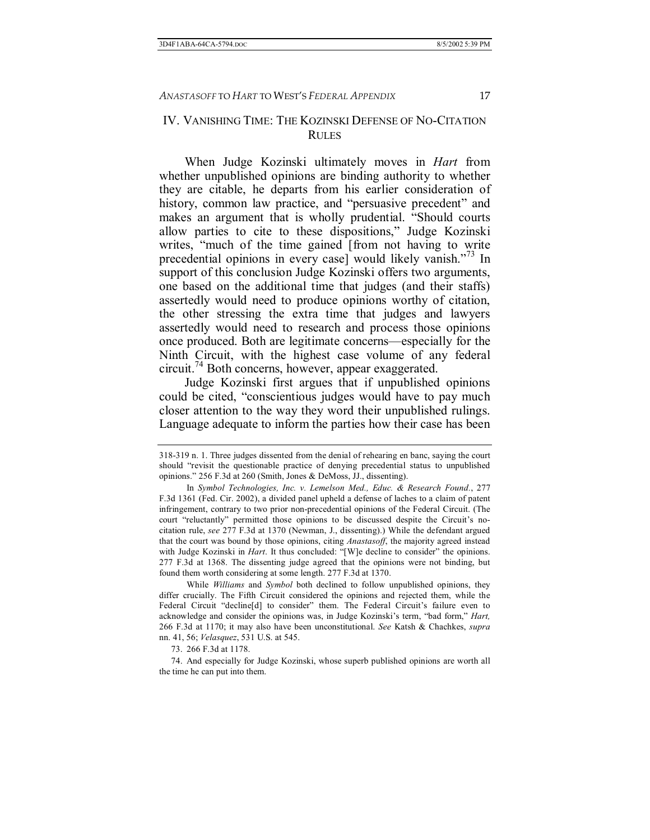# IV. VANISHING TIME: THE KOZINSKI DEFENSE OF NO-CITATION RULES

When Judge Kozinski ultimately moves in *Hart* from whether unpublished opinions are binding authority to whether they are citable, he departs from his earlier consideration of history, common law practice, and "persuasive precedent" and makes an argument that is wholly prudential. "Should courts allow parties to cite to these dispositions," Judge Kozinski writes, "much of the time gained [from not having to write precedential opinions in every case] would likely vanish.<sup> $7/3$ </sup> In support of this conclusion Judge Kozinski offers two arguments, one based on the additional time that judges (and their staffs) assertedly would need to produce opinions worthy of citation, the other stressing the extra time that judges and lawyers assertedly would need to research and process those opinions once produced. Both are legitimate concerns—especially for the Ninth Circuit, with the highest case volume of any federal circuit.74 Both concerns, however, appear exaggerated.

Judge Kozinski first argues that if unpublished opinions could be cited, "conscientious judges would have to pay much closer attention to the way they word their unpublished rulings. Language adequate to inform the parties how their case has been

73. 266 F.3d at 1178.

 74. And especially for Judge Kozinski, whose superb published opinions are worth all the time he can put into them.

<sup>318-319</sup> n. 1. Three judges dissented from the denial of rehearing en banc, saying the court should "revisit the questionable practice of denying precedential status to unpublished opinions.î 256 F.3d at 260 (Smith, Jones & DeMoss, JJ., dissenting).

In *Symbol Technologies, Inc. v. Lemelson Med., Educ. & Research Found.*, 277 F.3d 1361 (Fed. Cir. 2002), a divided panel upheld a defense of laches to a claim of patent infringement, contrary to two prior non-precedential opinions of the Federal Circuit. (The court "reluctantly" permitted those opinions to be discussed despite the Circuit's nocitation rule, *see* 277 F.3d at 1370 (Newman, J., dissenting).) While the defendant argued that the court was bound by those opinions, citing *Anastasoff*, the majority agreed instead with Judge Kozinski in *Hart*. It thus concluded: "[W]e decline to consider" the opinions. 277 F.3d at 1368. The dissenting judge agreed that the opinions were not binding, but found them worth considering at some length. 277 F.3d at 1370.

While *Williams* and *Symbol* both declined to follow unpublished opinions, they differ crucially. The Fifth Circuit considered the opinions and rejected them, while the Federal Circuit "decline[d] to consider" them. The Federal Circuit's failure even to acknowledge and consider the opinions was, in Judge Kozinski's term, "bad form," *Hart*, 266 F.3d at 1170; it may also have been unconstitutional. *See* Katsh & Chachkes, *supra* nn. 41, 56; *Velasquez*, 531 U.S. at 545.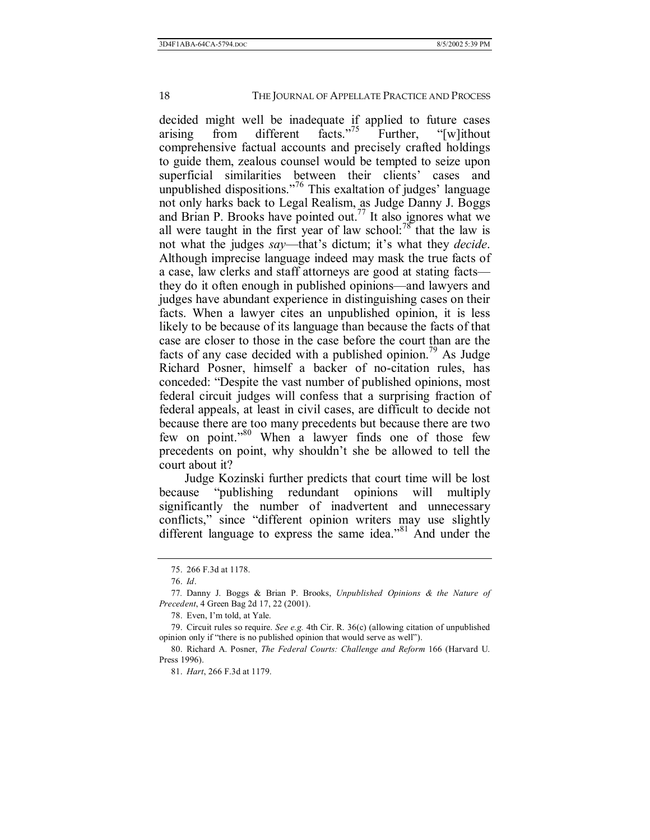decided might well be inadequate if applied to future cases arising from different facts.<sup> $7/5$ </sup> Further, "[w]ithout comprehensive factual accounts and precisely crafted holdings to guide them, zealous counsel would be tempted to seize upon superficial similarities between their clients' cases and unpublished dispositions.<sup> $76$ </sup> This exaltation of judges' language not only harks back to Legal Realism, as Judge Danny J. Boggs and Brian P. Brooks have pointed out.<sup>77</sup> It also ignores what we all were taught in the first year of law school:<sup>78</sup> that the law is not what the judges *say*—that's dictum; it's what they *decide*. Although imprecise language indeed may mask the true facts of a case, law clerks and staff attorneys are good at stating facts they do it often enough in published opinions—and lawyers and judges have abundant experience in distinguishing cases on their facts. When a lawyer cites an unpublished opinion, it is less likely to be because of its language than because the facts of that case are closer to those in the case before the court than are the facts of any case decided with a published opinion.<sup>79</sup> As Judge Richard Posner, himself a backer of no-citation rules, has conceded: "Despite the vast number of published opinions, most federal circuit judges will confess that a surprising fraction of federal appeals, at least in civil cases, are difficult to decide not because there are too many precedents but because there are two few on point.<sup> $380$ </sup> When a lawyer finds one of those few precedents on point, why shouldn't she be allowed to tell the court about it?

Judge Kozinski further predicts that court time will be lost because "publishing redundant opinions will multiply significantly the number of inadvertent and unnecessary conflicts," since "different opinion writers may use slightly different language to express the same idea."<sup>81</sup> And under the

 <sup>75. 266</sup> F.3d at 1178.

 <sup>76.</sup> *Id*.

<sup>77</sup>*.* Danny J. Boggs & Brian P. Brooks, *Unpublished Opinions & the Nature of Precedent*, 4 Green Bag 2d 17, 22 (2001).

<sup>78.</sup> Even, I'm told, at Yale.

 <sup>79.</sup> Circuit rules so require. *See e.g.* 4th Cir. R. 36(c) (allowing citation of unpublished opinion only if "there is no published opinion that would serve as well").

 <sup>80.</sup> Richard A. Posner, *The Federal Courts: Challenge and Reform* 166 (Harvard U. Press 1996).

 <sup>81.</sup> *Hart*, 266 F.3d at 1179.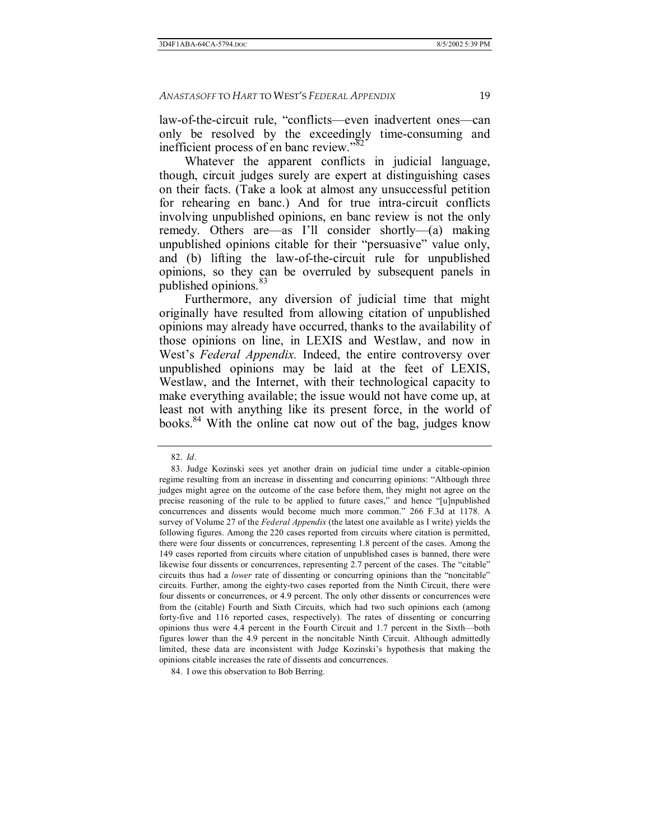law-of-the-circuit rule, "conflicts—even inadvertent ones—can only be resolved by the exceedingly time-consuming and inefficient process of en banc review.<sup>82</sup>

Whatever the apparent conflicts in judicial language, though, circuit judges surely are expert at distinguishing cases on their facts. (Take a look at almost any unsuccessful petition for rehearing en banc.) And for true intra-circuit conflicts involving unpublished opinions, en banc review is not the only remedy. Others are as I'll consider shortly  $(a)$  making unpublished opinions citable for their "persuasive" value only, and (b) lifting the law-of-the-circuit rule for unpublished opinions, so they can be overruled by subsequent panels in published opinions.<sup>83</sup>

Furthermore, any diversion of judicial time that might originally have resulted from allowing citation of unpublished opinions may already have occurred, thanks to the availability of those opinions on line, in LEXIS and Westlaw, and now in West's *Federal Appendix*. Indeed, the entire controversy over unpublished opinions may be laid at the feet of LEXIS, Westlaw, and the Internet, with their technological capacity to make everything available; the issue would not have come up, at least not with anything like its present force, in the world of books.<sup>84</sup> With the online cat now out of the bag, judges know

 <sup>82.</sup> *Id*.

 <sup>83.</sup> Judge Kozinski sees yet another drain on judicial time under a citable-opinion regime resulting from an increase in dissenting and concurring opinions: "Although three judges might agree on the outcome of the case before them, they might not agree on the precise reasoning of the rule to be applied to future cases," and hence "[u]npublished concurrences and dissents would become much more common.î 266 F.3d at 1178. A survey of Volume 27 of the *Federal Appendix* (the latest one available as I write) yields the following figures. Among the 220 cases reported from circuits where citation is permitted, there were four dissents or concurrences, representing 1.8 percent of the cases. Among the 149 cases reported from circuits where citation of unpublished cases is banned, there were likewise four dissents or concurrences, representing 2.7 percent of the cases. The "citable" circuits thus had a *lower* rate of dissenting or concurring opinions than the "noncitable" circuits. Further, among the eighty-two cases reported from the Ninth Circuit, there were four dissents or concurrences, or 4.9 percent. The only other dissents or concurrences were from the (citable) Fourth and Sixth Circuits, which had two such opinions each (among forty-five and 116 reported cases, respectively). The rates of dissenting or concurring opinions thus were 4.4 percent in the Fourth Circuit and 1.7 percent in the Sixth—both figures lower than the 4.9 percent in the noncitable Ninth Circuit. Although admittedly limited, these data are inconsistent with Judge Kozinskiís hypothesis that making the opinions citable increases the rate of dissents and concurrences.

 <sup>84.</sup> I owe this observation to Bob Berring.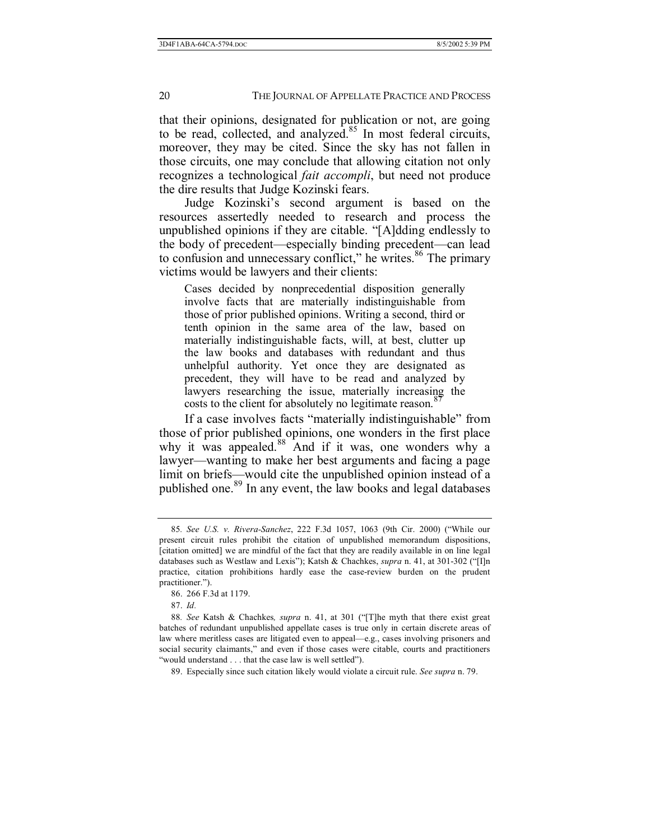that their opinions, designated for publication or not, are going to be read, collected, and analyzed.<sup>85</sup> In most federal circuits, moreover, they may be cited. Since the sky has not fallen in those circuits, one may conclude that allowing citation not only recognizes a technological *fait accompli*, but need not produce the dire results that Judge Kozinski fears.

Judge Kozinski's second argument is based on the resources assertedly needed to research and process the unpublished opinions if they are citable. "[A]dding endlessly to the body of precedent—especially binding precedent—can lead to confusion and unnecessary conflict," he writes.<sup>86</sup> The primary victims would be lawyers and their clients:

Cases decided by nonprecedential disposition generally involve facts that are materially indistinguishable from those of prior published opinions. Writing a second, third or tenth opinion in the same area of the law, based on materially indistinguishable facts, will, at best, clutter up the law books and databases with redundant and thus unhelpful authority. Yet once they are designated as precedent, they will have to be read and analyzed by lawyers researching the issue, materially increasing the costs to the client for absolutely no legitimate reason.<sup>8</sup>

If a case involves facts "materially indistinguishable" from those of prior published opinions, one wonders in the first place why it was appealed.<sup>88</sup> And if it was, one wonders why a lawyer—wanting to make her best arguments and facing a page limit on briefs—would cite the unpublished opinion instead of a published one.<sup>89</sup> In any event, the law books and legal databases

<sup>85.</sup> See U.S. v. Rivera-Sanchez, 222 F.3d 1057, 1063 (9th Cir. 2000) ("While our present circuit rules prohibit the citation of unpublished memorandum dispositions, [citation omitted] we are mindful of the fact that they are readily available in on line legal databases such as Westlaw and Lexis"); Katsh & Chachkes, *supra* n. 41, at 301-302 ("[I]n practice, citation prohibitions hardly ease the case-review burden on the prudent practitioner.").

 <sup>86. 266</sup> F.3d at 1179.

 <sup>87.</sup> *Id.*

<sup>88.</sup> See Katsh & Chachkes, *supra* n. 41, at 301 ("[T]he myth that there exist great batches of redundant unpublished appellate cases is true only in certain discrete areas of law where meritless cases are litigated even to appeal—e.g., cases involving prisoners and social security claimants," and even if those cases were citable, courts and practitioners "would understand . . . that the case law is well settled").

 <sup>89.</sup> Especially since such citation likely would violate a circuit rule. *See supra* n. 79.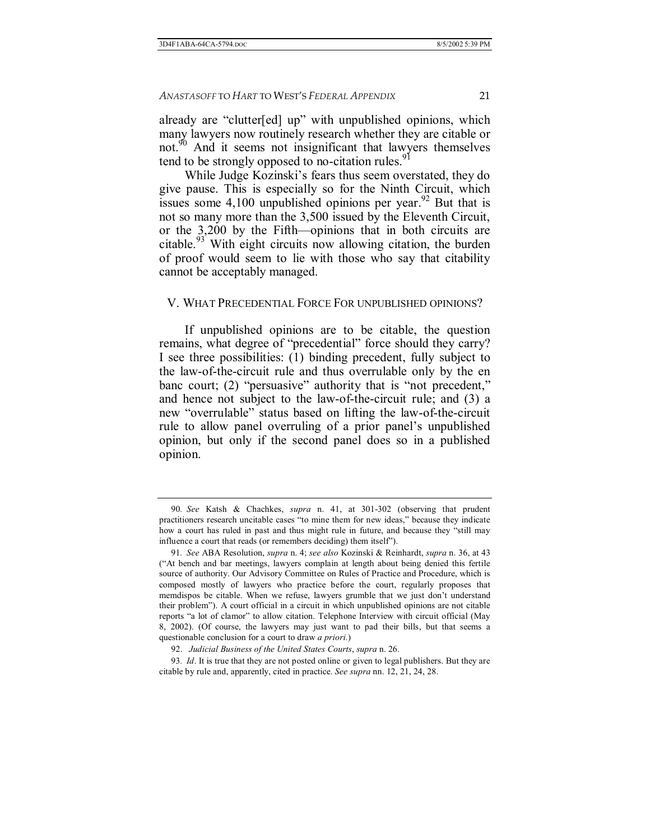already are "clutter[ed] up" with unpublished opinions, which many lawyers now routinely research whether they are citable or not.<sup>90</sup> And it seems not insignificant that lawyers themselves tend to be strongly opposed to no-citation rules.<sup>91</sup>

While Judge Kozinski's fears thus seem overstated, they do give pause. This is especially so for the Ninth Circuit, which issues some  $4,100$  unpublished opinions per year.<sup>92</sup> But that is not so many more than the 3,500 issued by the Eleventh Circuit, or the  $3,200$  by the Fifth-opinions that in both circuits are citable.<sup>93</sup> With eight circuits now allowing citation, the burden of proof would seem to lie with those who say that citability cannot be acceptably managed.

#### V. WHAT PRECEDENTIAL FORCE FOR UNPUBLISHED OPINIONS?

If unpublished opinions are to be citable, the question remains, what degree of "precedential" force should they carry? I see three possibilities: (1) binding precedent, fully subject to the law-of-the-circuit rule and thus overrulable only by the en banc court; (2) "persuasive" authority that is "not precedent," and hence not subject to the law-of-the-circuit rule; and (3) a new "overrulable" status based on lifting the law-of-the-circuit rule to allow panel overruling of a prior panel's unpublished opinion, but only if the second panel does so in a published opinion.

<sup>90</sup>*. See* Katsh & Chachkes, *supra* n. 41, at 301-302 (observing that prudent practitioners research uncitable cases "to mine them for new ideas," because they indicate how a court has ruled in past and thus might rule in future, and because they "still may influence a court that reads (or remembers deciding) them itself").

<sup>91</sup>*. See* ABA Resolution, *supra* n. 4; *see also* Kozinski & Reinhardt, *supra* n. 36, at 43 ("At bench and bar meetings, lawyers complain at length about being denied this fertile source of authority. Our Advisory Committee on Rules of Practice and Procedure, which is composed mostly of lawyers who practice before the court, regularly proposes that memdispos be citable. When we refuse, lawyers grumble that we just don't understand their problemî). A court official in a circuit in which unpublished opinions are not citable reports "a lot of clamor" to allow citation. Telephone Interview with circuit official (May 8, 2002). (Of course, the lawyers may just want to pad their bills, but that seems a questionable conclusion for a court to draw *a priori.*)

 <sup>92.</sup> *Judicial Business of the United States Courts*, *supra* n. 26.

<sup>93</sup>*. Id*. It is true that they are not posted online or given to legal publishers. But they are citable by rule and, apparently, cited in practice. *See supra* nn. 12, 21, 24, 28.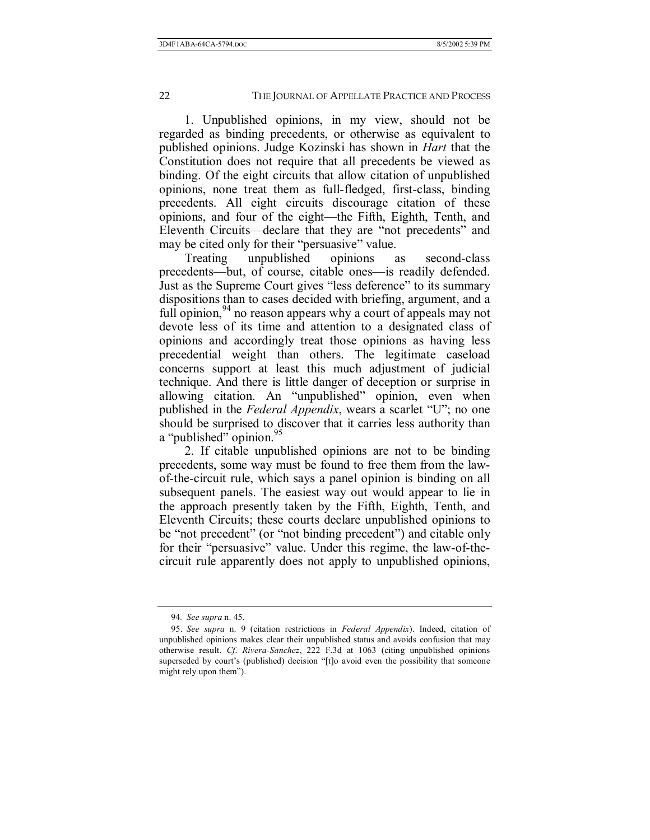1. Unpublished opinions, in my view, should not be regarded as binding precedents, or otherwise as equivalent to published opinions. Judge Kozinski has shown in *Hart* that the Constitution does not require that all precedents be viewed as binding. Of the eight circuits that allow citation of unpublished opinions, none treat them as full-fledged, first-class, binding precedents. All eight circuits discourage citation of these opinions, and four of the eight—the Fifth, Eighth, Tenth, and Eleventh Circuits—declare that they are "not precedents" and may be cited only for their "persuasive" value.

Treating unpublished opinions as second-class precedents—but, of course, citable ones—is readily defended. Just as the Supreme Court gives "less deference" to its summary dispositions than to cases decided with briefing, argument, and a full opinion,<sup>94</sup> no reason appears why a court of appeals may not devote less of its time and attention to a designated class of opinions and accordingly treat those opinions as having less precedential weight than others. The legitimate caseload concerns support at least this much adjustment of judicial technique. And there is little danger of deception or surprise in allowing citation. An "unpublished" opinion, even when published in the *Federal Appendix*, wears a scarlet "U"; no one should be surprised to discover that it carries less authority than a "published" opinion.<sup>95</sup>

2. If citable unpublished opinions are not to be binding precedents, some way must be found to free them from the lawof-the-circuit rule, which says a panel opinion is binding on all subsequent panels. The easiest way out would appear to lie in the approach presently taken by the Fifth, Eighth, Tenth, and Eleventh Circuits; these courts declare unpublished opinions to be "not precedent" (or "not binding precedent") and citable only for their "persuasive" value. Under this regime, the law-of-thecircuit rule apparently does not apply to unpublished opinions,

<sup>94</sup>*. See supra* n. 45.

 <sup>95.</sup> *See supra* n. 9 (citation restrictions in *Federal Appendix*). Indeed, citation of unpublished opinions makes clear their unpublished status and avoids confusion that may otherwise result. *Cf*. *Rivera-Sanchez*, 222 F.3d at 1063 (citing unpublished opinions superseded by court's (published) decision "[t]o avoid even the possibility that someone might rely upon them").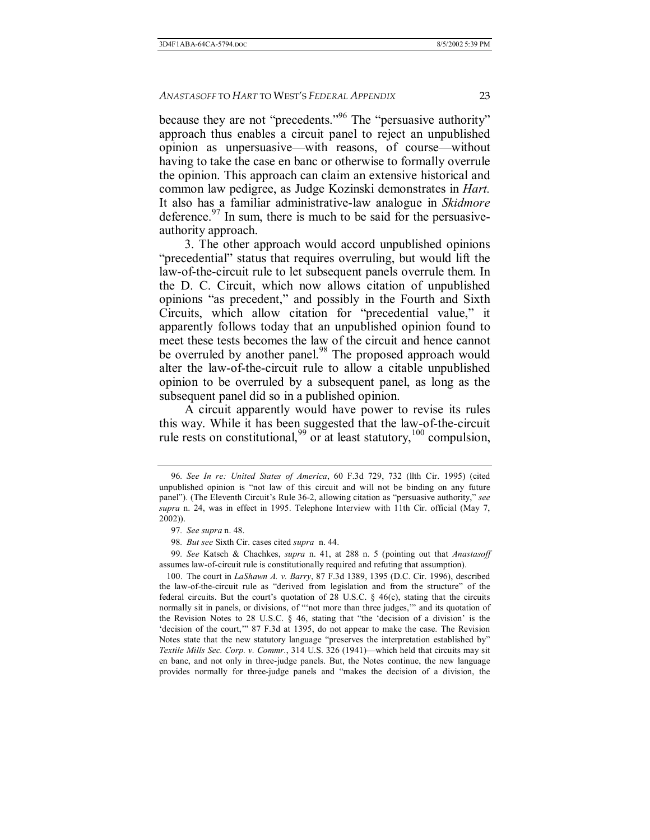because they are not "precedents.<sup>"96</sup> The "persuasive authority" approach thus enables a circuit panel to reject an unpublished opinion as unpersuasive—with reasons, of course—without having to take the case en banc or otherwise to formally overrule the opinion. This approach can claim an extensive historical and common law pedigree, as Judge Kozinski demonstrates in *Hart.*  It also has a familiar administrative-law analogue in *Skidmore* deference. $97$  In sum, there is much to be said for the persuasiveauthority approach.

3. The other approach would accord unpublished opinions "precedential" status that requires overruling, but would lift the law-of-the-circuit rule to let subsequent panels overrule them. In the D. C. Circuit, which now allows citation of unpublished opinions "as precedent," and possibly in the Fourth and Sixth Circuits, which allow citation for "precedential value," it apparently follows today that an unpublished opinion found to meet these tests becomes the law of the circuit and hence cannot be overruled by another panel.<sup>98</sup> The proposed approach would alter the law-of-the-circuit rule to allow a citable unpublished opinion to be overruled by a subsequent panel, as long as the subsequent panel did so in a published opinion.

A circuit apparently would have power to revise its rules this way. While it has been suggested that the law-of-the-circuit rule rests on constitutional,  $99$  or at least statutory,  $100$  compulsion,

99*. See* Katsch & Chachkes, *supra* n. 41, at 288 n. 5 (pointing out that *Anastasoff* assumes law-of-circuit rule is constitutionally required and refuting that assumption).

 100. The court in *LaShawn A. v. Barry*, 87 F.3d 1389, 1395 (D.C. Cir. 1996), described the law-of-the-circuit rule as "derived from legislation and from the structure" of the federal circuits. But the court's quotation of 28 U.S.C.  $\S$  46(c), stating that the circuits normally sit in panels, or divisions, of "not more than three judges," and its quotation of the Revision Notes to 28 U.S.C.  $\S$  46, stating that "the 'decision of a division' is the 'decision of the court," 87 F.3d at 1395, do not appear to make the case. The Revision Notes state that the new statutory language "preserves the interpretation established by" *Textile Mills Sec. Corp. v. Commr.*, 314 U.S. 326 (1941)—which held that circuits may sit en banc, and not only in three-judge panels. But, the Notes continue, the new language provides normally for three-judge panels and "makes the decision of a division, the

<sup>96</sup>*. See In re: United States of America*, 60 F.3d 729, 732 (llth Cir. 1995) (cited unpublished opinion is "not law of this circuit and will not be binding on any future panel"). (The Eleventh Circuit's Rule 36-2, allowing citation as "persuasive authority," *see supra* n. 24, was in effect in 1995. Telephone Interview with 11th Cir. official (May 7, 2002)).

<sup>97</sup>*. See supra* n. 48.

<sup>98</sup>*. But see* Sixth Cir. cases cited *supra* n. 44.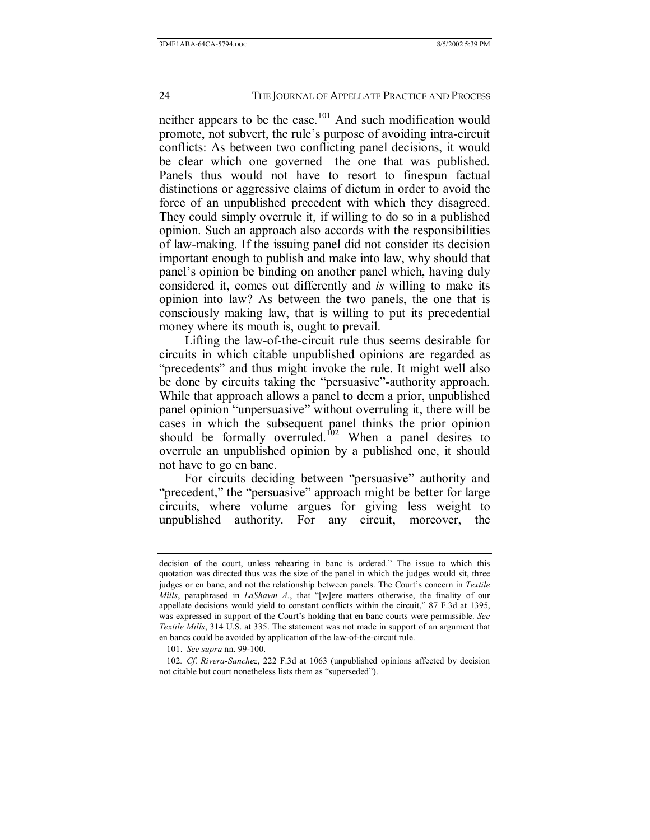neither appears to be the case.<sup>101</sup> And such modification would promote, not subvert, the rule's purpose of avoiding intra-circuit conflicts: As between two conflicting panel decisions, it would be clear which one governed—the one that was published. Panels thus would not have to resort to finespun factual distinctions or aggressive claims of dictum in order to avoid the force of an unpublished precedent with which they disagreed. They could simply overrule it, if willing to do so in a published opinion. Such an approach also accords with the responsibilities of law-making. If the issuing panel did not consider its decision important enough to publish and make into law, why should that panel's opinion be binding on another panel which, having duly considered it, comes out differently and *is* willing to make its opinion into law? As between the two panels, the one that is consciously making law, that is willing to put its precedential money where its mouth is, ought to prevail.

Lifting the law-of-the-circuit rule thus seems desirable for circuits in which citable unpublished opinions are regarded as "precedents" and thus might invoke the rule. It might well also be done by circuits taking the "persuasive"-authority approach. While that approach allows a panel to deem a prior, unpublished panel opinion "unpersuasive" without overruling it, there will be cases in which the subsequent panel thinks the prior opinion should be formally overruled.<sup>102</sup> When a panel desires to overrule an unpublished opinion by a published one, it should not have to go en banc.

For circuits deciding between "persuasive" authority and "precedent," the "persuasive" approach might be better for large circuits, where volume argues for giving less weight to unpublished authority. For any circuit, moreover, the

decision of the court, unless rehearing in banc is ordered." The issue to which this quotation was directed thus was the size of the panel in which the judges would sit, three judges or en banc, and not the relationship between panels. The Court's concern in *Textile Mills*, paraphrased in *LaShawn A.*, that "[w]ere matters otherwise, the finality of our appellate decisions would yield to constant conflicts within the circuit," 87 F.3d at 1395, was expressed in support of the Court's holding that en banc courts were permissible. See *Textile Mills*, 314 U.S. at 335. The statement was not made in support of an argument that en bancs could be avoided by application of the law-of-the-circuit rule.

 <sup>101.</sup> *See supra* nn. 99-100.

<sup>102</sup>*. Cf*. *Rivera-Sanchez*, 222 F.3d at 1063 (unpublished opinions affected by decision not citable but court nonetheless lists them as "superseded").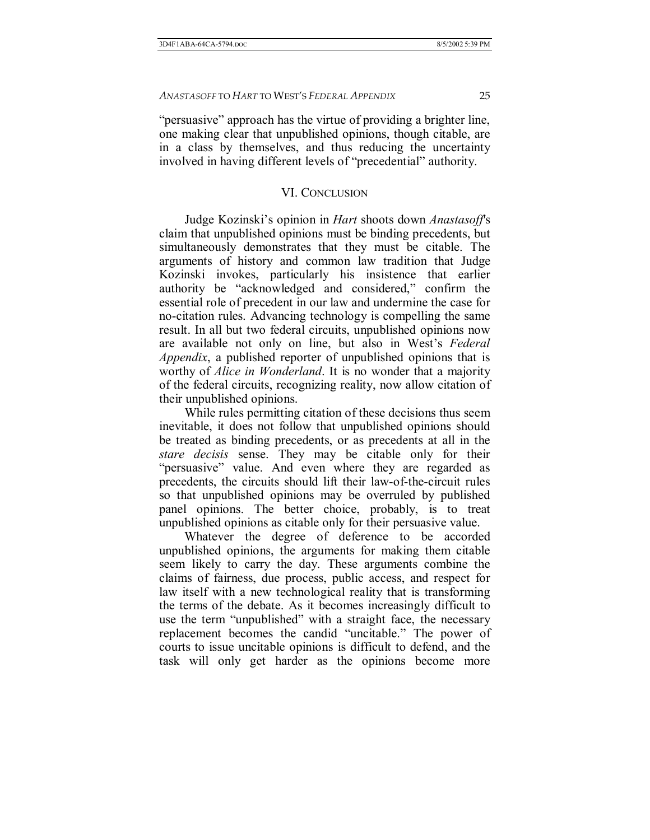"persuasive" approach has the virtue of providing a brighter line, one making clear that unpublished opinions, though citable, are in a class by themselves, and thus reducing the uncertainty involved in having different levels of "precedential" authority.

## VI. CONCLUSION

Judge Kozinskiís opinion in *Hart* shoots down *Anastasoff*'s claim that unpublished opinions must be binding precedents, but simultaneously demonstrates that they must be citable. The arguments of history and common law tradition that Judge Kozinski invokes, particularly his insistence that earlier authority be "acknowledged and considered," confirm the essential role of precedent in our law and undermine the case for no-citation rules. Advancing technology is compelling the same result. In all but two federal circuits, unpublished opinions now are available not only on line, but also in West's Federal *Appendix*, a published reporter of unpublished opinions that is worthy of *Alice in Wonderland*. It is no wonder that a majority of the federal circuits, recognizing reality, now allow citation of their unpublished opinions.

While rules permitting citation of these decisions thus seem inevitable, it does not follow that unpublished opinions should be treated as binding precedents, or as precedents at all in the *stare decisis* sense. They may be citable only for their "persuasive" value. And even where they are regarded as precedents, the circuits should lift their law-of-the-circuit rules so that unpublished opinions may be overruled by published panel opinions. The better choice, probably, is to treat unpublished opinions as citable only for their persuasive value.

Whatever the degree of deference to be accorded unpublished opinions, the arguments for making them citable seem likely to carry the day. These arguments combine the claims of fairness, due process, public access, and respect for law itself with a new technological reality that is transforming the terms of the debate. As it becomes increasingly difficult to use the term "unpublished" with a straight face, the necessary replacement becomes the candid "uncitable." The power of courts to issue uncitable opinions is difficult to defend, and the task will only get harder as the opinions become more